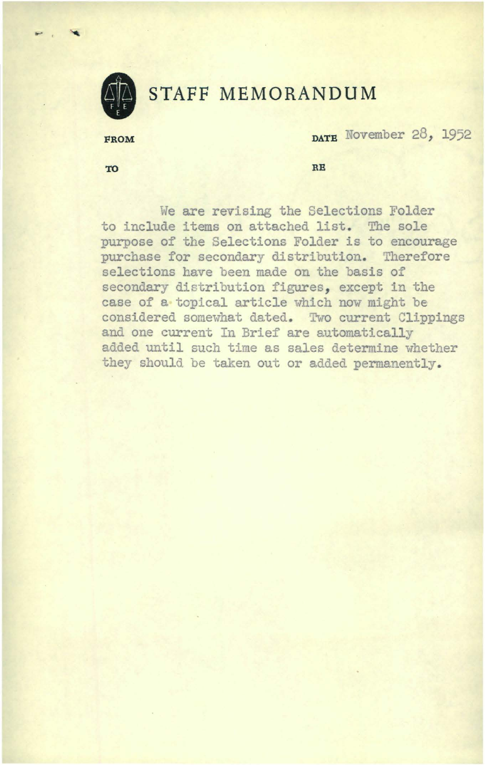

.... ' ~

# **STAFF MEMORANDUM**

FROM **DATE** November 28, 1952

**TO RB** 

We are revising the Selections Folder to include items on attached list. The sole purpose of the Selections Folder is to encourage purchase for secondary distribution. Therefore selections have been made on the basis of secondary distribution figures, except in the case of a topical article which now might be considered somewhat dated. Two current Clippings and one current In Brief are automatically added until such time as sales determine whether they should be taken out or added permanently.